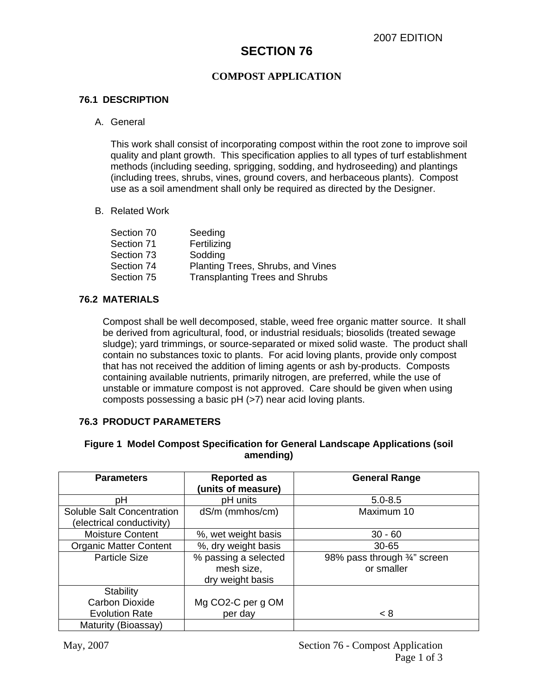# **SECTION 76**

# **COMPOST APPLICATION**

#### **76.1 DESCRIPTION**

#### A. General

This work shall consist of incorporating compost within the root zone to improve soil quality and plant growth. This specification applies to all types of turf establishment methods (including seeding, sprigging, sodding, and hydroseeding) and plantings (including trees, shrubs, vines, ground covers, and herbaceous plants). Compost use as a soil amendment shall only be required as directed by the Designer.

#### B. Related Work

| Section 70 | Seeding                               |
|------------|---------------------------------------|
| Section 71 | Fertilizing                           |
| Section 73 | Sodding                               |
| Section 74 | Planting Trees, Shrubs, and Vines     |
| Section 75 | <b>Transplanting Trees and Shrubs</b> |

# **76.2 MATERIALS**

Compost shall be well decomposed, stable, weed free organic matter source. It shall be derived from agricultural, food, or industrial residuals; biosolids (treated sewage sludge); yard trimmings, or source-separated or mixed solid waste. The product shall contain no substances toxic to plants. For acid loving plants, provide only compost that has not received the addition of liming agents or ash by-products. Composts containing available nutrients, primarily nitrogen, are preferred, while the use of unstable or immature compost is not approved. Care should be given when using composts possessing a basic pH (>7) near acid loving plants.

# **76.3 PRODUCT PARAMETERS**

#### **Figure 1 Model Compost Specification for General Landscape Applications (soil amending)**

| <b>Parameters</b>             | <b>Reported as</b><br>(units of measure) | <b>General Range</b>         |
|-------------------------------|------------------------------------------|------------------------------|
| рH                            | pH units                                 | $5.0 - 8.5$                  |
| Soluble Salt Concentration    | dS/m (mmhos/cm)                          | Maximum 10                   |
| (electrical conductivity)     |                                          |                              |
| <b>Moisture Content</b>       | %, wet weight basis                      | $30 - 60$                    |
| <b>Organic Matter Content</b> | %, dry weight basis                      | $30 - 65$                    |
| <b>Particle Size</b>          | % passing a selected                     | 98% pass through 3/4" screen |
|                               | mesh size,                               | or smaller                   |
|                               | dry weight basis                         |                              |
| <b>Stability</b>              |                                          |                              |
| <b>Carbon Dioxide</b>         | Mg CO2-C per g OM                        |                              |
| <b>Evolution Rate</b>         | per day                                  | < 8                          |
| Maturity (Bioassay)           |                                          |                              |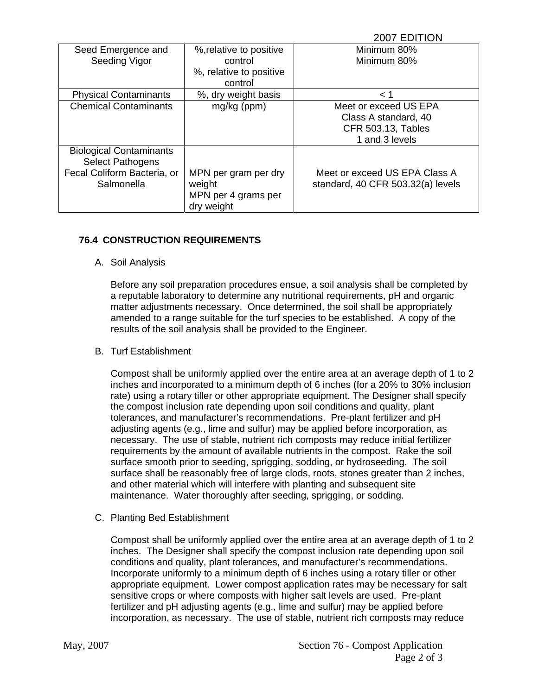# 2007 EDITION

| Seed Emergence and<br>Seeding Vigor                                                                    | %, relative to positive<br>control<br>%, relative to positive<br>control | Minimum 80%<br>Minimum 80%                                                                   |
|--------------------------------------------------------------------------------------------------------|--------------------------------------------------------------------------|----------------------------------------------------------------------------------------------|
| <b>Physical Contaminants</b>                                                                           | %, dry weight basis                                                      | $\leq 1$                                                                                     |
| <b>Chemical Contaminants</b>                                                                           | mg/kg (ppm)                                                              | Meet or exceed US EPA<br>Class A standard, 40<br><b>CFR 503.13, Tables</b><br>1 and 3 levels |
| <b>Biological Contaminants</b><br><b>Select Pathogens</b><br>Fecal Coliform Bacteria, or<br>Salmonella | MPN per gram per dry<br>weight<br>MPN per 4 grams per<br>dry weight      | Meet or exceed US EPA Class A<br>standard, 40 CFR 503.32(a) levels                           |

# **76.4 CONSTRUCTION REQUIREMENTS**

A. Soil Analysis

Before any soil preparation procedures ensue, a soil analysis shall be completed by a reputable laboratory to determine any nutritional requirements, pH and organic matter adjustments necessary. Once determined, the soil shall be appropriately amended to a range suitable for the turf species to be established. A copy of the results of the soil analysis shall be provided to the Engineer.

B. Turf Establishment

Compost shall be uniformly applied over the entire area at an average depth of 1 to 2 inches and incorporated to a minimum depth of 6 inches (for a 20% to 30% inclusion rate) using a rotary tiller or other appropriate equipment. The Designer shall specify the compost inclusion rate depending upon soil conditions and quality, plant tolerances, and manufacturer's recommendations. Pre-plant fertilizer and pH adjusting agents (e.g., lime and sulfur) may be applied before incorporation, as necessary. The use of stable, nutrient rich composts may reduce initial fertilizer requirements by the amount of available nutrients in the compost. Rake the soil surface smooth prior to seeding, sprigging, sodding, or hydroseeding. The soil surface shall be reasonably free of large clods, roots, stones greater than 2 inches, and other material which will interfere with planting and subsequent site maintenance. Water thoroughly after seeding, sprigging, or sodding.

C. Planting Bed Establishment

Compost shall be uniformly applied over the entire area at an average depth of 1 to 2 inches. The Designer shall specify the compost inclusion rate depending upon soil conditions and quality, plant tolerances, and manufacturer's recommendations. Incorporate uniformly to a minimum depth of 6 inches using a rotary tiller or other appropriate equipment. Lower compost application rates may be necessary for salt sensitive crops or where composts with higher salt levels are used. Pre-plant fertilizer and pH adjusting agents (e.g., lime and sulfur) may be applied before incorporation, as necessary. The use of stable, nutrient rich composts may reduce